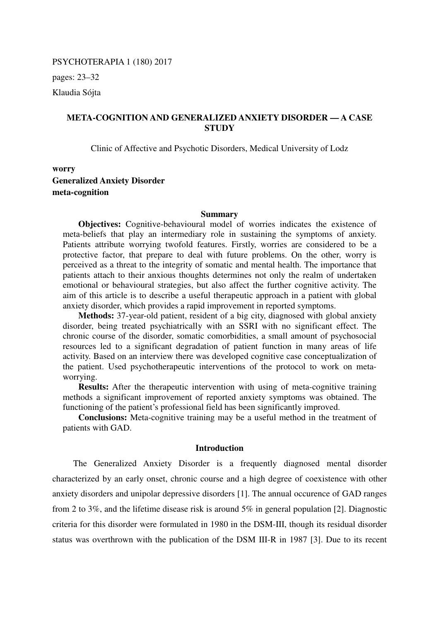PSYCHOTERAPIA 1 (180) 2017

pages: 23–32

Klaudia Sójta

# **META-COGNITION AND GENERALIZED ANXIETY DISORDER — A CASE STUDY**

Clinic of Affective and Psychotic Disorders, Medical University of Lodz

**worry Generalized Anxiety Disorder meta-cognition** 

#### **Summary**

**Objectives:** Cognitive-behavioural model of worries indicates the existence of meta-beliefs that play an intermediary role in sustaining the symptoms of anxiety. Patients attribute worrying twofold features. Firstly, worries are considered to be a protective factor, that prepare to deal with future problems. On the other, worry is perceived as a threat to the integrity of somatic and mental health. The importance that patients attach to their anxious thoughts determines not only the realm of undertaken emotional or behavioural strategies, but also affect the further cognitive activity. The aim of this article is to describe a useful therapeutic approach in a patient with global anxiety disorder, which provides a rapid improvement in reported symptoms.

**Methods:** 37-year-old patient, resident of a big city, diagnosed with global anxiety disorder, being treated psychiatrically with an SSRI with no significant effect. The chronic course of the disorder, somatic comorbidities, a small amount of psychosocial resources led to a significant degradation of patient function in many areas of life activity. Based on an interview there was developed cognitive case conceptualization of the patient. Used psychotherapeutic interventions of the protocol to work on metaworrying.

**Results:** After the therapeutic intervention with using of meta-cognitive training methods a significant improvement of reported anxiety symptoms was obtained. The functioning of the patient's professional field has been significantly improved.

**Conclusions:** Meta-cognitive training may be a useful method in the treatment of patients with GAD.

## **Introduction**

The Generalized Anxiety Disorder is a frequently diagnosed mental disorder characterized by an early onset, chronic course and a high degree of coexistence with other anxiety disorders and unipolar depressive disorders [1]. The annual occurence of GAD ranges from 2 to 3%, and the lifetime disease risk is around 5% in general population [2]. Diagnostic criteria for this disorder were formulated in 1980 in the DSM-III, though its residual disorder status was overthrown with the publication of the DSM III-R in 1987 [3]. Due to its recent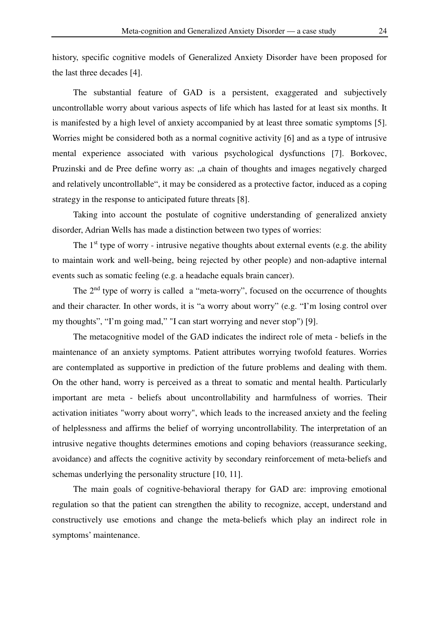history, specific cognitive models of Generalized Anxiety Disorder have been proposed for the last three decades [4].

The substantial feature of GAD is a persistent, exaggerated and subjectively uncontrollable worry about various aspects of life which has lasted for at least six months. It is manifested by a high level of anxiety accompanied by at least three somatic symptoms [5]. Worries might be considered both as a normal cognitive activity [6] and as a type of intrusive mental experience associated with various psychological dysfunctions [7]. Borkovec, Pruzinski and de Pree define worry as: "a chain of thoughts and images negatively charged and relatively uncontrollable", it may be considered as a protective factor, induced as a coping strategy in the response to anticipated future threats [8].

Taking into account the postulate of cognitive understanding of generalized anxiety disorder, Adrian Wells has made a distinction between two types of worries:

The  $1<sup>st</sup>$  type of worry - intrusive negative thoughts about external events (e.g. the ability to maintain work and well-being, being rejected by other people) and non-adaptive internal events such as somatic feeling (e.g. a headache equals brain cancer).

The  $2<sup>nd</sup>$  type of worry is called a "meta-worry", focused on the occurrence of thoughts and their character. In other words, it is "a worry about worry" (e.g. "I'm losing control over my thoughts", "I'm going mad," "I can start worrying and never stop") [9].

The metacognitive model of the GAD indicates the indirect role of meta - beliefs in the maintenance of an anxiety symptoms. Patient attributes worrying twofold features. Worries are contemplated as supportive in prediction of the future problems and dealing with them. On the other hand, worry is perceived as a threat to somatic and mental health. Particularly important are meta - beliefs about uncontrollability and harmfulness of worries. Their activation initiates "worry about worry", which leads to the increased anxiety and the feeling of helplessness and affirms the belief of worrying uncontrollability. The interpretation of an intrusive negative thoughts determines emotions and coping behaviors (reassurance seeking, avoidance) and affects the cognitive activity by secondary reinforcement of meta-beliefs and schemas underlying the personality structure [10, 11].

The main goals of cognitive-behavioral therapy for GAD are: improving emotional regulation so that the patient can strengthen the ability to recognize, accept, understand and constructively use emotions and change the meta-beliefs which play an indirect role in symptoms' maintenance.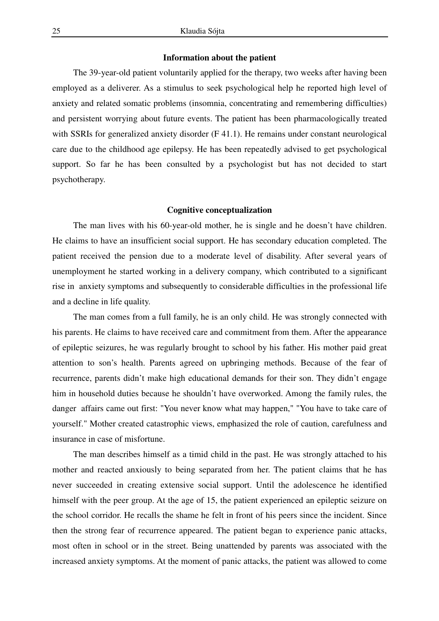## **Information about the patient**

The 39-year-old patient voluntarily applied for the therapy, two weeks after having been employed as a deliverer. As a stimulus to seek psychological help he reported high level of anxiety and related somatic problems (insomnia, concentrating and remembering difficulties) and persistent worrying about future events. The patient has been pharmacologically treated with SSRIs for generalized anxiety disorder (F 41.1). He remains under constant neurological care due to the childhood age epilepsy. He has been repeatedly advised to get psychological support. So far he has been consulted by a psychologist but has not decided to start psychotherapy.

### **Cognitive conceptualization**

The man lives with his 60-year-old mother, he is single and he doesn't have children. He claims to have an insufficient social support. He has secondary education completed. The patient received the pension due to a moderate level of disability. After several years of unemployment he started working in a delivery company, which contributed to a significant rise in anxiety symptoms and subsequently to considerable difficulties in the professional life and a decline in life quality.

The man comes from a full family, he is an only child. He was strongly connected with his parents. He claims to have received care and commitment from them. After the appearance of epileptic seizures, he was regularly brought to school by his father. His mother paid great attention to son's health. Parents agreed on upbringing methods. Because of the fear of recurrence, parents didn't make high educational demands for their son. They didn't engage him in household duties because he shouldn't have overworked. Among the family rules, the danger affairs came out first: "You never know what may happen," "You have to take care of yourself." Mother created catastrophic views, emphasized the role of caution, carefulness and insurance in case of misfortune.

The man describes himself as a timid child in the past. He was strongly attached to his mother and reacted anxiously to being separated from her. The patient claims that he has never succeeded in creating extensive social support. Until the adolescence he identified himself with the peer group. At the age of 15, the patient experienced an epileptic seizure on the school corridor. He recalls the shame he felt in front of his peers since the incident. Since then the strong fear of recurrence appeared. The patient began to experience panic attacks, most often in school or in the street. Being unattended by parents was associated with the increased anxiety symptoms. At the moment of panic attacks, the patient was allowed to come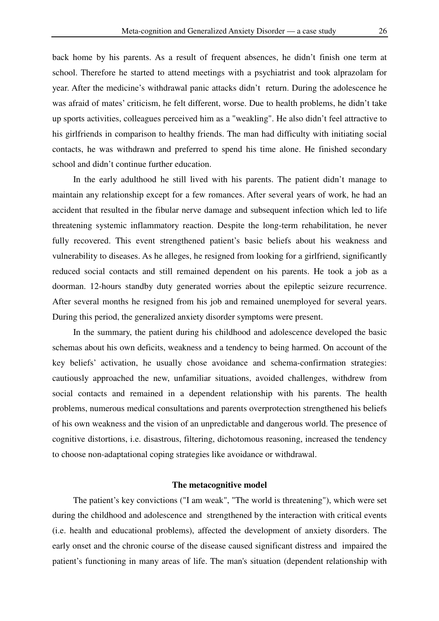back home by his parents. As a result of frequent absences, he didn't finish one term at school. Therefore he started to attend meetings with a psychiatrist and took alprazolam for year. After the medicine's withdrawal panic attacks didn't return. During the adolescence he was afraid of mates' criticism, he felt different, worse. Due to health problems, he didn't take up sports activities, colleagues perceived him as a "weakling". He also didn't feel attractive to his girlfriends in comparison to healthy friends. The man had difficulty with initiating social contacts, he was withdrawn and preferred to spend his time alone. He finished secondary school and didn't continue further education.

In the early adulthood he still lived with his parents. The patient didn't manage to maintain any relationship except for a few romances. After several years of work, he had an accident that resulted in the fibular nerve damage and subsequent infection which led to life threatening systemic inflammatory reaction. Despite the long-term rehabilitation, he never fully recovered. This event strengthened patient's basic beliefs about his weakness and vulnerability to diseases. As he alleges, he resigned from looking for a girlfriend, significantly reduced social contacts and still remained dependent on his parents. He took a job as a doorman. 12-hours standby duty generated worries about the epileptic seizure recurrence. After several months he resigned from his job and remained unemployed for several years. During this period, the generalized anxiety disorder symptoms were present.

In the summary, the patient during his childhood and adolescence developed the basic schemas about his own deficits, weakness and a tendency to being harmed. On account of the key beliefs' activation, he usually chose avoidance and schema-confirmation strategies: cautiously approached the new, unfamiliar situations, avoided challenges, withdrew from social contacts and remained in a dependent relationship with his parents. The health problems, numerous medical consultations and parents overprotection strengthened his beliefs of his own weakness and the vision of an unpredictable and dangerous world. The presence of cognitive distortions, i.e. disastrous, filtering, dichotomous reasoning, increased the tendency to choose non-adaptational coping strategies like avoidance or withdrawal.

#### **The metacognitive model**

The patient's key convictions ("I am weak", "The world is threatening"), which were set during the childhood and adolescence and strengthened by the interaction with critical events (i.e. health and educational problems), affected the development of anxiety disorders. The early onset and the chronic course of the disease caused significant distress and impaired the patient's functioning in many areas of life. The man's situation (dependent relationship with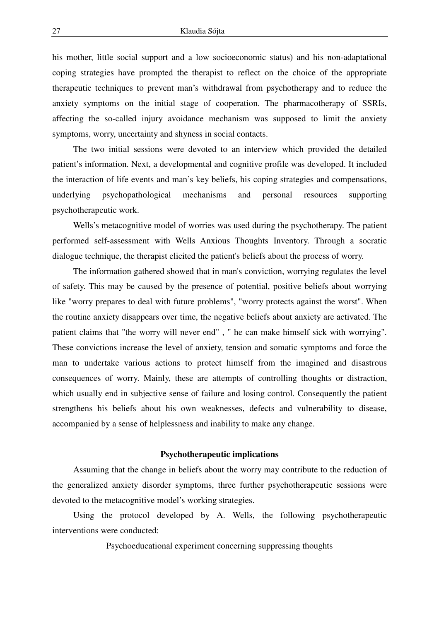his mother, little social support and a low socioeconomic status) and his non-adaptational coping strategies have prompted the therapist to reflect on the choice of the appropriate therapeutic techniques to prevent man's withdrawal from psychotherapy and to reduce the anxiety symptoms on the initial stage of cooperation. The pharmacotherapy of SSRIs, affecting the so-called injury avoidance mechanism was supposed to limit the anxiety symptoms, worry, uncertainty and shyness in social contacts.

The two initial sessions were devoted to an interview which provided the detailed patient's information. Next, a developmental and cognitive profile was developed. It included the interaction of life events and man's key beliefs, his coping strategies and compensations, underlying psychopathological mechanisms and personal resources supporting psychotherapeutic work.

Wells's metacognitive model of worries was used during the psychotherapy. The patient performed self-assessment with Wells Anxious Thoughts Inventory. Through a socratic dialogue technique, the therapist elicited the patient's beliefs about the process of worry.

The information gathered showed that in man's conviction, worrying regulates the level of safety. This may be caused by the presence of potential, positive beliefs about worrying like "worry prepares to deal with future problems", "worry protects against the worst". When the routine anxiety disappears over time, the negative beliefs about anxiety are activated. The patient claims that "the worry will never end" , " he can make himself sick with worrying". These convictions increase the level of anxiety, tension and somatic symptoms and force the man to undertake various actions to protect himself from the imagined and disastrous consequences of worry. Mainly, these are attempts of controlling thoughts or distraction, which usually end in subjective sense of failure and losing control. Consequently the patient strengthens his beliefs about his own weaknesses, defects and vulnerability to disease, accompanied by a sense of helplessness and inability to make any change.

### **Psychotherapeutic implications**

Assuming that the change in beliefs about the worry may contribute to the reduction of the generalized anxiety disorder symptoms, three further psychotherapeutic sessions were devoted to the metacognitive model's working strategies.

Using the protocol developed by A. Wells, the following psychotherapeutic interventions were conducted:

Psychoeducational experiment concerning suppressing thoughts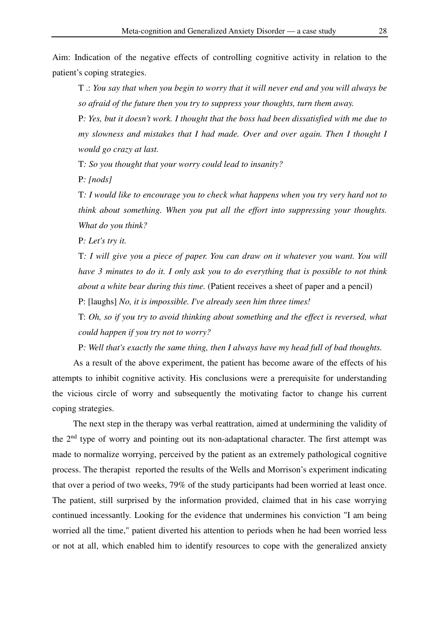Aim: Indication of the negative effects of controlling cognitive activity in relation to the patient's coping strategies.

T .: *You say that when you begin to worry that it will never end and you will always be so afraid of the future then you try to suppress your thoughts, turn them away.*

P*: Yes, but it doesn't work. I thought that the boss had been dissatisfied with me due to my slowness and mistakes that I had made. Over and over again. Then I thought I would go crazy at last.*

T*: So you thought that your worry could lead to insanity?*

P*: [nods]*

T*: I would like to encourage you to check what happens when you try very hard not to think about something. When you put all the effort into suppressing your thoughts. What do you think?*

P*: Let's try it.*

T*: I will give you a piece of paper. You can draw on it whatever you want. You will have 3 minutes to do it. I only ask you to do everything that is possible to not think about a white bear during this time.* (Patient receives a sheet of paper and a pencil)

P: [laughs] *No, it is impossible. I've already seen him three times!*

T: *Oh, so if you try to avoid thinking about something and the effect is reversed, what could happen if you try not to worry?*

P*: Well that's exactly the same thing, then I always have my head full of bad thoughts.*

As a result of the above experiment, the patient has become aware of the effects of his attempts to inhibit cognitive activity. His conclusions were a prerequisite for understanding the vicious circle of worry and subsequently the motivating factor to change his current coping strategies.

The next step in the therapy was verbal reattration, aimed at undermining the validity of the  $2<sup>nd</sup>$  type of worry and pointing out its non-adaptational character. The first attempt was made to normalize worrying, perceived by the patient as an extremely pathological cognitive process. The therapist reported the results of the Wells and Morrison's experiment indicating that over a period of two weeks, 79% of the study participants had been worried at least once. The patient, still surprised by the information provided, claimed that in his case worrying continued incessantly. Looking for the evidence that undermines his conviction "I am being worried all the time," patient diverted his attention to periods when he had been worried less or not at all, which enabled him to identify resources to cope with the generalized anxiety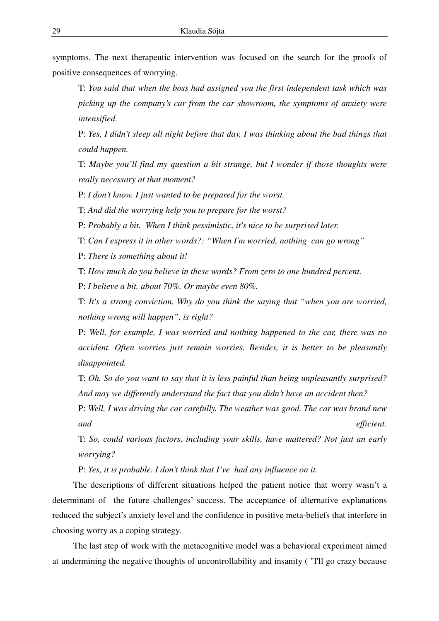symptoms. The next therapeutic intervention was focused on the search for the proofs of positive consequences of worrying.

T: *You said that when the boss had assigned you the first independent task which was picking up the company's car from the car showroom, the symptoms of anxiety were intensified.*

P: *Yes, I didn't sleep all night before that day, I was thinking about the bad things that could happen.*

T: *Maybe you'll find my question a bit strange, but I wonder if those thoughts were really necessary at that moment?*

P: *I don't know. I just wanted to be prepared for the worst.*

T: *And did the worrying help you to prepare for the worst?*

P: *Probably a bit. When I think pessimistic, it's nice to be surprised later.*

T: *Can I express it in other words?: "When I'm worried, nothing can go wrong"*

P: *There is something about it!*

T: *How much do you believe in these words? From zero to one hundred percent.*

P: *I believe a bit, about 70%. Or maybe even 80%.*

T: *It's a strong conviction. Why do you think the saying that "when you are worried, nothing wrong will happen", is right?*

P: *Well, for example, I was worried and nothing happened to the car, there was no accident. Often worries just remain worries. Besides, it is better to be pleasantly disappointed.*

T: *Oh. So do you want to say that it is less painful than being unpleasantly surprised? And may we differently understand the fact that you didn't have an accident then?*

P: *Well, I was driving the car carefully. The weather was good. The car was brand new and efficient.* 

T: *So, could various factors, including your skills, have mattered? Not just an early worrying?*

P: *Yes, it is probable. I don't think that I've had any influence on it.*

The descriptions of different situations helped the patient notice that worry wasn't a determinant of the future challenges' success. The acceptance of alternative explanations reduced the subject's anxiety level and the confidence in positive meta-beliefs that interfere in choosing worry as a coping strategy.

The last step of work with the metacognitive model was a behavioral experiment aimed at undermining the negative thoughts of uncontrollability and insanity ( "I'll go crazy because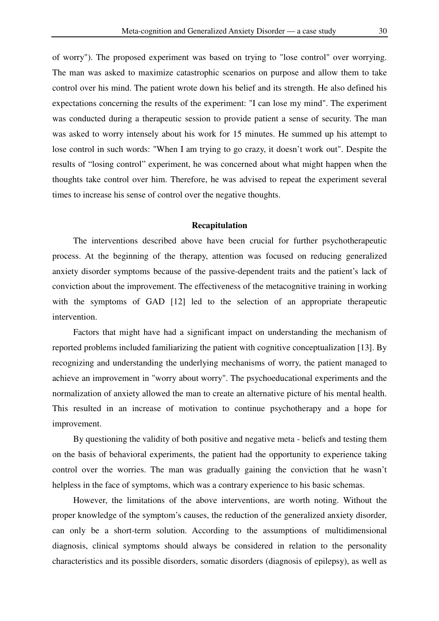of worry"). The proposed experiment was based on trying to "lose control" over worrying. The man was asked to maximize catastrophic scenarios on purpose and allow them to take control over his mind. The patient wrote down his belief and its strength. He also defined his expectations concerning the results of the experiment: "I can lose my mind". The experiment was conducted during a therapeutic session to provide patient a sense of security. The man was asked to worry intensely about his work for 15 minutes. He summed up his attempt to lose control in such words: "When I am trying to go crazy, it doesn't work out". Despite the results of "losing control" experiment, he was concerned about what might happen when the thoughts take control over him. Therefore, he was advised to repeat the experiment several times to increase his sense of control over the negative thoughts.

#### **Recapitulation**

The interventions described above have been crucial for further psychotherapeutic process. At the beginning of the therapy, attention was focused on reducing generalized anxiety disorder symptoms because of the passive-dependent traits and the patient's lack of conviction about the improvement. The effectiveness of the metacognitive training in working with the symptoms of GAD [12] led to the selection of an appropriate therapeutic intervention.

Factors that might have had a significant impact on understanding the mechanism of reported problems included familiarizing the patient with cognitive conceptualization [13]. By recognizing and understanding the underlying mechanisms of worry, the patient managed to achieve an improvement in "worry about worry". The psychoeducational experiments and the normalization of anxiety allowed the man to create an alternative picture of his mental health. This resulted in an increase of motivation to continue psychotherapy and a hope for improvement.

By questioning the validity of both positive and negative meta - beliefs and testing them on the basis of behavioral experiments, the patient had the opportunity to experience taking control over the worries. The man was gradually gaining the conviction that he wasn't helpless in the face of symptoms, which was a contrary experience to his basic schemas.

However, the limitations of the above interventions, are worth noting. Without the proper knowledge of the symptom's causes, the reduction of the generalized anxiety disorder, can only be a short-term solution. According to the assumptions of multidimensional diagnosis, clinical symptoms should always be considered in relation to the personality characteristics and its possible disorders, somatic disorders (diagnosis of epilepsy), as well as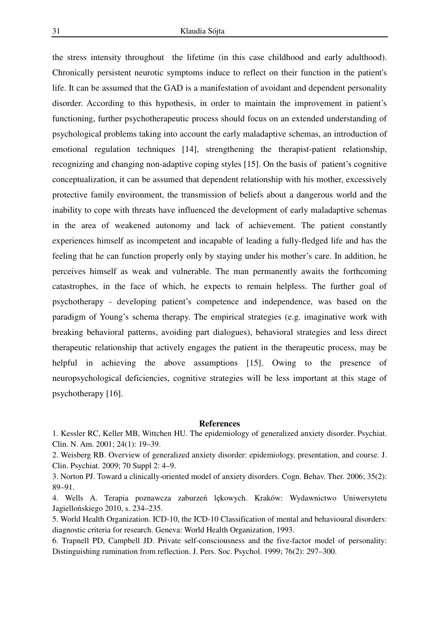the stress intensity throughout the lifetime (in this case childhood and early adulthood). Chronically persistent neurotic symptoms induce to reflect on their function in the patient's life. It can be assumed that the GAD is a manifestation of avoidant and dependent personality disorder. According to this hypothesis, in order to maintain the improvement in patient's functioning, further psychotherapeutic process should focus on an extended understanding of psychological problems taking into account the early maladaptive schemas, an introduction of emotional regulation techniques [14], strengthening the therapist-patient relationship, recognizing and changing non-adaptive coping styles [15]. On the basis of patient's cognitive conceptualization, it can be assumed that dependent relationship with his mother, excessively protective family environment, the transmission of beliefs about a dangerous world and the inability to cope with threats have influenced the development of early maladaptive schemas in the area of weakened autonomy and lack of achievement. The patient constantly experiences himself as incompetent and incapable of leading a fully-fledged life and has the feeling that he can function properly only by staying under his mother's care. In addition, he perceives himself as weak and vulnerable. The man permanently awaits the forthcoming catastrophes, in the face of which, he expects to remain helpless. The further goal of psychotherapy - developing patient's competence and independence, was based on the paradigm of Young's schema therapy. The empirical strategies (e.g. imaginative work with breaking behavioral patterns, avoiding part dialogues), behavioral strategies and less direct therapeutic relationship that actively engages the patient in the therapeutic process, may be helpful in achieving the above assumptions [15]. Owing to the presence of neuropsychological deficiencies, cognitive strategies will be less important at this stage of psychotherapy [16].

#### **References**

1. Kessler RC, Keller MB, Wittchen HU. The epidemiology of generalized anxiety disorder. Psychiat. Clin. N. Am. 2001; 24(1): 19–39.

2. Weisberg RB. Overview of generalized anxiety disorder: epidemiology, presentation, and course. J. Clin. Psychiat. 2009; 70 Suppl 2: 4–9.

3. Norton PJ. Toward a clinically-oriented model of anxiety disorders. Cogn. Behav. Ther. 2006; 35(2): 89–91.

4. Wells A. Terapia poznawcza zaburzeń lękowych. Kraków: Wydawnictwo Uniwersytetu Jagiellońskiego 2010, s. 234–235.

5. World Health Organization. ICD-10, the ICD-10 Classification of mental and behavioural disorders: diagnostic criteria for research. Geneva: World Health Organization, 1993.

6. Trapnell PD, Campbell JD. Private self-consciousness and the five-factor model of personality: Distinguishing rumination from reflection. J. Pers. Soc. Psychol. 1999; 76(2): 297–300.